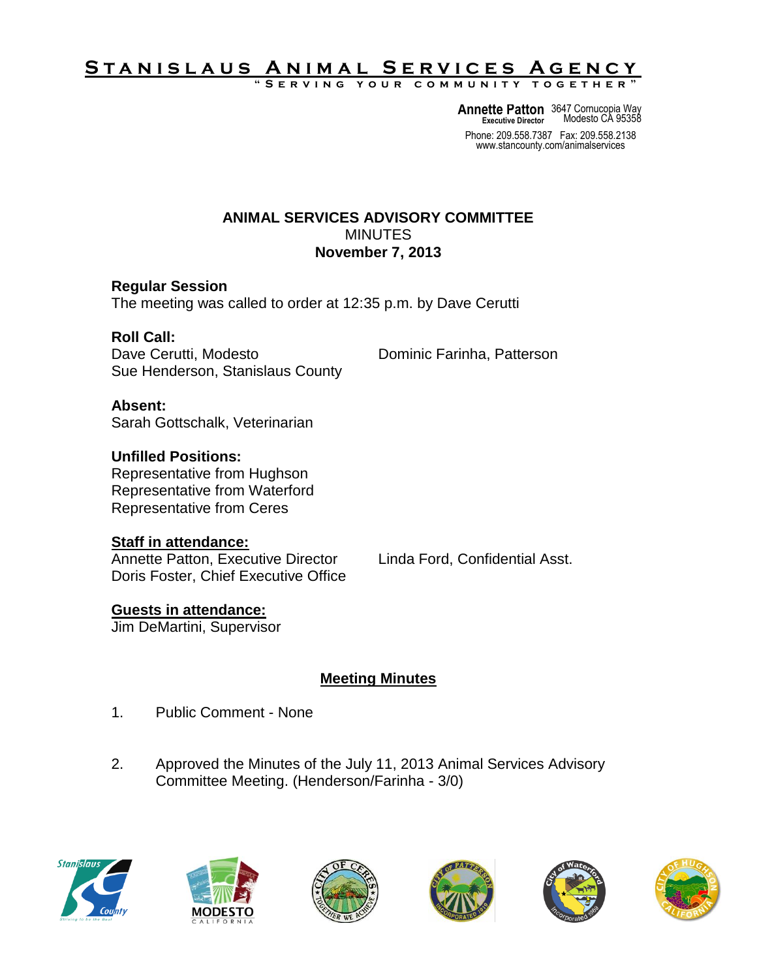# <u>STANISLAUS ANIMAL SERVICES AGENCY</u>

**" S e r v i n g y o u r c o m m u n i t y t o g e t h e r "**

**Annette Patton** 3647 Cornucopia Way **Executive Director** Modesto CA 95358

Phone: 209.558.7387 Fax: 209.558.2138 www.stancounty.com/animalservices

#### **ANIMAL SERVICES ADVISORY COMMITTEE** MINUTES **November 7, 2013**

#### **Regular Session**

The meeting was called to order at 12:35 p.m. by Dave Cerutti

#### **Roll Call:**

Dave Cerutti, Modesto **Dominic Farinha, Patterson** Sue Henderson, Stanislaus County

# **Absent:**

Sarah Gottschalk, Veterinarian

### **Unfilled Positions:**

Representative from Hughson Representative from Waterford Representative from Ceres

#### **Staff in attendance:**

Annette Patton, Executive Director Linda Ford, Confidential Asst. Doris Foster, Chief Executive Office

## **Guests in attendance:**

Jim DeMartini, Supervisor

## **Meeting Minutes**

- 1. Public Comment None
- 2. Approved the Minutes of the July 11, 2013 Animal Services Advisory Committee Meeting. (Henderson/Farinha - 3/0)